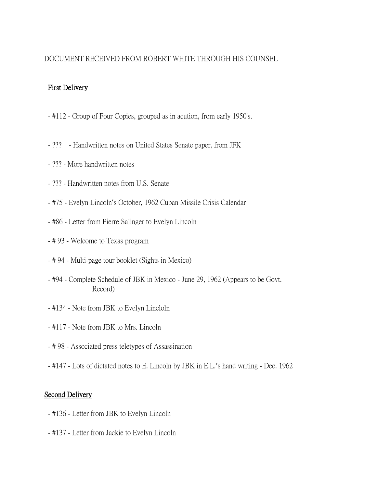## DOCUMENT RECEIVED FROM ROBERT WHITE THROUGH HIS COUNSEL

## First Delivery

- #112 Group of Four Copies, grouped as in acution, from early 1950's.
- ??? Handwritten notes on United States Senate paper, from JFK
- ??? More handwritten notes
- ??? Handwritten notes from U.S. Senate
- #75 Evelyn Lincoln's October, 1962 Cuban Missile Crisis Calendar
- #86 Letter from Pierre Salinger to Evelyn Lincoln
- # 93 Welcome to Texas program
- # 94 Multi-page tour booklet (Sights in Mexico)
- #94 Complete Schedule of JBK in Mexico June 29, 1962 (Appears to be Govt. Record)
- #134 Note from JBK to Evelyn Lincloln
- #117 Note from JBK to Mrs. Lincoln
- # 98 Associated press teletypes of Assassination
- #147 Lots of dictated notes to E. Lincoln by JBK in E.L.'s hand writing Dec. 1962

## Second Delivery

- #136 Letter from JBK to Evelyn Lincoln
- #137 Letter from Jackie to Evelyn Lincoln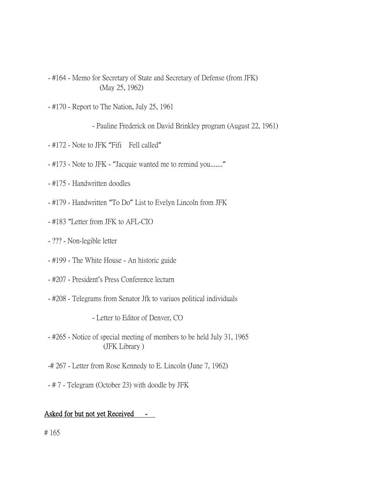- #164 Memo for Secretary of State and Secretary of Defense (from JFK) (May 25, 1962)
- #170 Report to The Nation, July 25, 1961

- Pauline Frederick on David Brinkley program (August 22, 1961)

- #172 Note to JFK "Fifi Fell called"
- #173 Note to JFK "Jacquie wanted me to remind you......."
- #175 Handwritten doodles
- #179 Handwritten "To Do" List to Evelyn Lincoln from JFK
- #183 "Letter from JFK to AFL-CIO
- ??? Non-legible letter
- #199 The White House An historic guide
- #207 President's Press Conference lecturn
- #208 Telegrams from Senator Jfk to variuos political individuals

- Letter to Editor of Denver, CO

- #265 Notice of special meeting of members to be held July 31, 1965 (JFK Library )
- -# 267 Letter from Rose Kennedy to E. Lincoln (June 7, 1962)
- # 7 Telegram (October 23) with doodle by JFK

## Asked for but not yet Received -

# 165